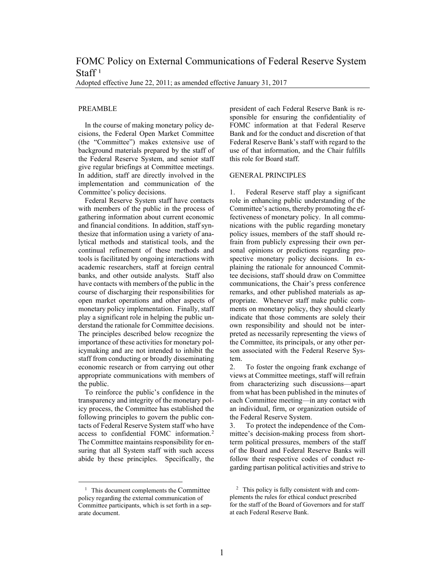## FOMC Policy on External Communications of Federal Reserve System  $Staff<sup>1</sup>$

Adopted effective June 22, 2011; as amended effective January 31, 2017

## **PREAMBLE**

In the course of making monetary policy decisions, the Federal Open Market Committee (the "Committee") makes extensive use of background materials prepared by the staff of the Federal Reserve System, and senior staff give regular briefings at Committee meetings. In addition, staff are directly involved in the implementation and communication of the Committee's policy decisions.

Federal Reserve System staff have contacts with members of the public in the process of gathering information about current economic and financial conditions. In addition, staff synthesize that information using a variety of analytical methods and statistical tools, and the continual refinement of these methods and tools is facilitated by ongoing interactions with academic researchers, staff at foreign central banks, and other outside analysts. Staff also have contacts with members of the public in the course of discharging their responsibilities for open market operations and other aspects of monetary policy implementation. Finally, staff play a significant role in helping the public understand the rationale for Committee decisions. The principles described below recognize the importance of these activities for monetary policymaking and are not intended to inhibit the staff from conducting or broadly disseminating economic research or from carrying out other appropriate communications with members of the public.

To reinforce the public's confidence in the transparency and integrity of the monetary policy process, the Committee has established the following principles to govern the public contacts of Federal Reserve System staff who have access to confidential FOMC information.[2](#page-0-0) The Committee maintains responsibility for ensuring that all System staff with such access abide by these principles. Specifically, the

president of each Federal Reserve Bank is responsible for ensuring the confidentiality of FOMC information at that Federal Reserve Bank and for the conduct and discretion of that Federal Reserve Bank's staff with regard to the use of that information, and the Chair fulfills this role for Board staff.

## GENERAL PRINCIPLES

1. Federal Reserve staff play a significant role in enhancing public understanding of the Committee's actions, thereby promoting the effectiveness of monetary policy. In all communications with the public regarding monetary policy issues, members of the staff should refrain from publicly expressing their own personal opinions or predictions regarding prospective monetary policy decisions. In explaining the rationale for announced Committee decisions, staff should draw on Committee communications, the Chair's press conference remarks, and other published materials as appropriate. Whenever staff make public comments on monetary policy, they should clearly indicate that those comments are solely their own responsibility and should not be interpreted as necessarily representing the views of the Committee, its principals, or any other person associated with the Federal Reserve System.

2. To foster the ongoing frank exchange of views at Committee meetings, staff will refrain from characterizing such discussions—apart from what has been published in the minutes of each Committee meeting—in any contact with an individual, firm, or organization outside of the Federal Reserve System.

3. To protect the independence of the Committee's decision-making process from shortterm political pressures, members of the staff of the Board and Federal Reserve Banks will follow their respective codes of conduct regarding partisan political activities and strive to

<span id="page-0-0"></span><sup>&</sup>lt;sup>1</sup> This document complements the Committee policy regarding the external communication of Committee participants, which is set forth in a separate document.

<sup>2</sup> This policy is fully consistent with and complements the rules for ethical conduct prescribed for the staff of the Board of Governors and for staff at each Federal Reserve Bank.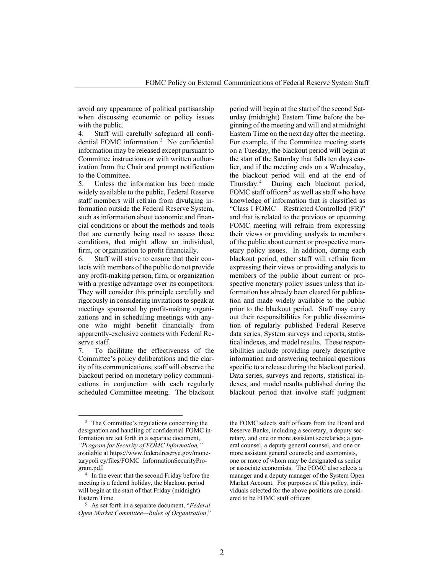avoid any appearance of political partisanship when discussing economic or policy issues with the public.

4. Staff will carefully safeguard all confidential FOMC information.[3](#page-1-0) No confidential information may be released except pursuant to Committee instructions or with written authorization from the Chair and prompt notification to the Committee.

5. Unless the information has been made widely available to the public, Federal Reserve staff members will refrain from divulging information outside the Federal Reserve System, such as information about economic and financial conditions or about the methods and tools that are currently being used to assess those conditions, that might allow an individual, firm, or organization to profit financially.

6. Staff will strive to ensure that their contacts with members of the public do not provide any profit-making person, firm, or organization with a prestige advantage over its competitors. They will consider this principle carefully and rigorously in considering invitations to speak at meetings sponsored by profit-making organizations and in scheduling meetings with anyone who might benefit financially from apparently-exclusive contacts with Federal Reserve staff.

7. To facilitate the effectiveness of the Committee's policy deliberations and the clarity of its communications, staff will observe the blackout period on monetary policy communications in conjunction with each regularly scheduled Committee meeting. The blackout

period will begin at the start of the second Saturday (midnight) Eastern Time before the beginning of the meeting and will end at midnight Eastern Time on the next day after the meeting. For example, if the Committee meeting starts on a Tuesday, the blackout period will begin at the start of the Saturday that falls ten days earlier, and if the meeting ends on a Wednesday, the blackout period will end at the end of Thursday.[4](#page-1-1) During each blackout period, FOMC staff officers<sup>[5](#page-1-2)</sup> as well as staff who have knowledge of information that is classified as "Class I FOMC – Restricted Controlled (FR)" and that is related to the previous or upcoming FOMC meeting will refrain from expressing their views or providing analysis to members of the public about current or prospective monetary policy issues. In addition, during each blackout period, other staff will refrain from expressing their views or providing analysis to members of the public about current or prospective monetary policy issues unless that information has already been cleared for publication and made widely available to the public prior to the blackout period. Staff may carry out their responsibilities for public dissemination of regularly published Federal Reserve data series, System surveys and reports, statistical indexes, and model results. These responsibilities include providing purely descriptive information and answering technical questions specific to a release during the blackout period. Data series, surveys and reports, statistical indexes, and model results published during the blackout period that involve staff judgment

<span id="page-1-0"></span><sup>&</sup>lt;sup>3</sup> The Committee's regulations concerning the designation and handling of confidential FOMC information are set forth in a separate document, *"Program for Security of FOMC Information,"* available at https://www.federalreserve.gov/monetarypoli cy/files/FOMC\_InformationSecurityProgram.pdf. 4 In the event that the second Friday before the

<span id="page-1-1"></span>meeting is a federal holiday, the blackout period will begin at the start of that Friday (midnight) Eastern Time.

<span id="page-1-2"></span><sup>5</sup> As set forth in a separate document, "*Federal Open Market Committee—Rules of Organization*,"

the FOMC selects staff officers from the Board and Reserve Banks, including a secretary, a deputy secretary, and one or more assistant secretaries; a general counsel, a deputy general counsel, and one or more assistant general counsels; and economists, one or more of whom may be designated as senior or associate economists. The FOMC also selects a manager and a deputy manager of the System Open Market Account. For purposes of this policy, individuals selected for the above positions are considered to be FOMC staff officers.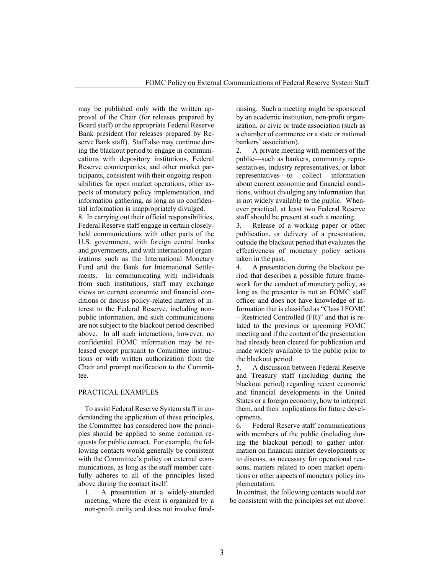may be published only with the written approval of the Chair (for releases prepared by Board staff) or the appropriate Federal Reserve Bank president (for releases prepared by Reserve Bank staff). Staff also may continue during the blackout period to engage in communications with depository institutions, Federal Reserve counterparties, and other market participants, consistent with their ongoing responsibilities for open market operations, other aspects of monetary policy implementation, and information gathering, as long as no confidential information is inappropriately divulged.

8. In carrying out their official responsibilities, Federal Reserve staff engage in certain closelyheld communications with other parts of the U.S. government, with foreign central banks and governments, and with international organizations such as the International Monetary Fund and the Bank for International Settlements. In communicating with individuals from such institutions, staff may exchange views on current economic and financial conditions or discuss policy-related matters of interest to the Federal Reserve, including nonpublic information, and such communications are not subject to the blackout period described above. In all such interactions, however, no confidential FOMC information may be released except pursuant to Committee instructions or with written authorization from the Chair and prompt notification to the Committee.

## PRACTICAL EXAMPLES

To assist Federal Reserve System staff in understanding the application of these principles, the Committee has considered how the principles should be applied to some common requests for public contact. For example, the following contacts would generally be consistent with the Committee's policy on external communications, as long as the staff member carefully adheres to all of the principles listed above during the contact itself:

1. A presentation at a widely-attended meeting, where the event is organized by a non-profit entity and does not involve fundraising. Such a meeting might be sponsored by an academic institution, non-profit organization, or civic or trade association (such as a chamber of commerce or a state or national bankers' association).

2. A private meeting with members of the public—such as bankers, community representatives, industry representatives, or labor representatives—to collect information about current economic and financial conditions, without divulging any information that is not widely available to the public. Whenever practical, at least two Federal Reserve staff should be present at such a meeting.

3. Release of a working paper or other publication, or delivery of a presentation, outside the blackout period that evaluates the effectiveness of monetary policy actions taken in the past.

4. A presentation during the blackout period that describes a possible future framework for the conduct of monetary policy, as long as the presenter is not an FOMC staff officer and does not have knowledge of information that is classified as "Class I FOMC – Restricted Controlled (FR)" and that is related to the previous or upcoming FOMC meeting and if the content of the presentation had already been cleared for publication and made widely available to the public prior to the blackout period.

5. A discussion between Federal Reserve and Treasury staff (including during the blackout period) regarding recent economic and financial developments in the United States or a foreign economy, how to interpret them, and their implications for future developments.

6. Federal Reserve staff communications with members of the public (including during the blackout period) to gather information on financial market developments or to discuss, as necessary for operational reasons, matters related to open market operations or other aspects of monetary policy implementation.

In contrast, the following contacts would *not* be consistent with the principles set out above: